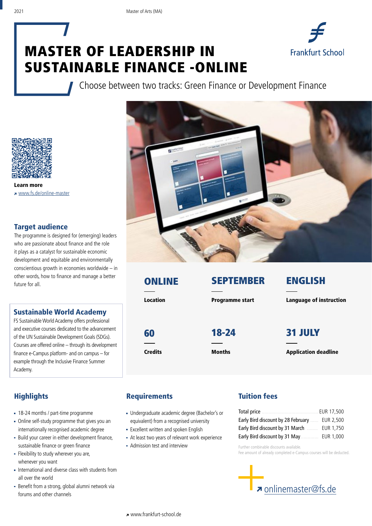# MASTER OF LEADERSHIP IN SUSTAINABLE FINANCE -ONLINE



Choose between two tracks: Green Finance or Development Finance



Learn more www.fs.de/online-master

#### Target audience

The programme is designed for (emerging) leaders who are passionate about finance and the role it plays as a catalyst for sustainable economic development and equitable and environmentally conscientious growth in economies worldwide – in other words, how to finance and manage a better future for all.

#### Sustainable World Academy

FS Sustainable World Academy offers professional and executive courses dedicated to the advancement of the UN Sustainable Development Goals (SDGs). Courses are offered online – through its development finance e-Campus platform- and on campus – for example through the Inclusive Finance Summer Academy.



| <b>ONLINE</b>  | <b>SEPTEMBER</b>       | <b>ENGLISH</b>                 |  |  |
|----------------|------------------------|--------------------------------|--|--|
| Location       | <b>Programme start</b> | <b>Language of instruction</b> |  |  |
| 60             | 18-24                  | <b>31 JULY</b>                 |  |  |
| <b>Credits</b> | <b>Months</b>          | <b>Application deadline</b>    |  |  |

## **Highlights**

- 18-24 months / part-time programme
- Online self-study programme that gives you an internationally recognised academic degree
- Build your career in either development finance, sustainable finance or green finance
- Flexibility to study wherever you are, whenever you want
- International and diverse class with students from all over the world
- Benefit from a strong, global alumni network via forums and other channels

#### **Requirements**

- Undergraduate academic degree (Bachelor's or equivalent) from a recognised university
- **Excellent written and spoken English**
- At least two years of relevant work experience
- Admission test and interview

### Tuition fees

|                                               | EUR 17,500 |
|-----------------------------------------------|------------|
| Early Bird discount by 28 February  EUR 2,500 |            |
| Early Bird discount by 31 March               | EUR 1,750  |
| Early Bird discount by 31 May                 | EUR 1,000  |

Further combinable discounts available. Fee amount of already completed e-Campus courses will be deducted.